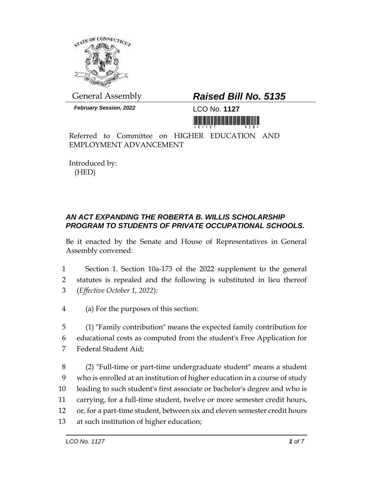

General Assembly *Raised Bill No. 5135*

*February Session, 2022* LCO No. **1127**

<u>Ti kuthiti kitika kutha maana katika h</u>

Referred to Committee on HIGHER EDUCATION AND EMPLOYMENT ADVANCEMENT

Introduced by: (HED)

## *AN ACT EXPANDING THE ROBERTA B. WILLIS SCHOLARSHIP PROGRAM TO STUDENTS OF PRIVATE OCCUPATIONAL SCHOOLS.*

Be it enacted by the Senate and House of Representatives in General Assembly convened:

- 1 Section 1. Section 10a-173 of the 2022 supplement to the general 2 statutes is repealed and the following is substituted in lieu thereof 3 (*Effective October 1, 2022*):
- 4 (a) For the purposes of this section:

5 (1) "Family contribution" means the expected family contribution for 6 educational costs as computed from the student's Free Application for 7 Federal Student Aid;

 (2) "Full-time or part-time undergraduate student" means a student who is enrolled at an institution of higher education in a course of study leading to such student's first associate or bachelor's degree and who is carrying, for a full-time student, twelve or more semester credit hours, or, for a part-time student, between six and eleven semester credit hours at such institution of higher education;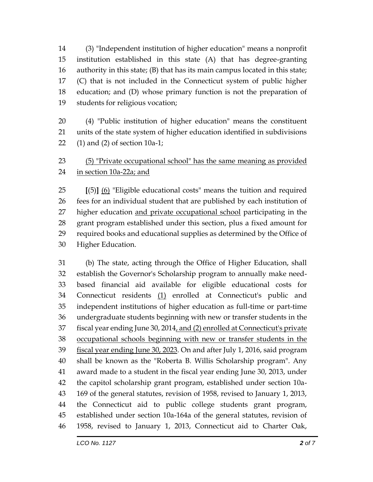(3) "Independent institution of higher education" means a nonprofit institution established in this state (A) that has degree-granting authority in this state; (B) that has its main campus located in this state; (C) that is not included in the Connecticut system of public higher education; and (D) whose primary function is not the preparation of students for religious vocation;

 (4) "Public institution of higher education" means the constituent units of the state system of higher education identified in subdivisions (1) and (2) of section 10a-1;

## (5) "Private occupational school" has the same meaning as provided in section 10a-22a; and

 **[**(5)**]** (6) "Eligible educational costs" means the tuition and required fees for an individual student that are published by each institution of 27 higher education and private occupational school participating in the grant program established under this section, plus a fixed amount for required books and educational supplies as determined by the Office of Higher Education.

 (b) The state, acting through the Office of Higher Education, shall establish the Governor's Scholarship program to annually make need- based financial aid available for eligible educational costs for Connecticut residents (1) enrolled at Connecticut's public and independent institutions of higher education as full-time or part-time undergraduate students beginning with new or transfer students in the fiscal year ending June 30, 2014, and (2) enrolled at Connecticut's private occupational schools beginning with new or transfer students in the fiscal year ending June 30, 2023. On and after July 1, 2016, said program shall be known as the "Roberta B. Willis Scholarship program". Any award made to a student in the fiscal year ending June 30, 2013, under the capitol scholarship grant program, established under section 10a- 169 of the general statutes, revision of 1958, revised to January 1, 2013, the Connecticut aid to public college students grant program, established under section 10a-164a of the general statutes, revision of 1958, revised to January 1, 2013, Connecticut aid to Charter Oak,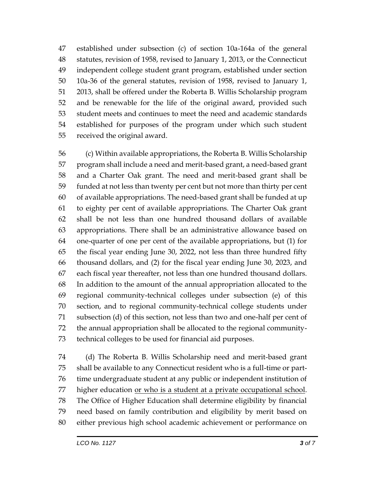established under subsection (c) of section 10a-164a of the general statutes, revision of 1958, revised to January 1, 2013, or the Connecticut independent college student grant program, established under section 10a-36 of the general statutes, revision of 1958, revised to January 1, 2013, shall be offered under the Roberta B. Willis Scholarship program and be renewable for the life of the original award, provided such student meets and continues to meet the need and academic standards established for purposes of the program under which such student received the original award.

 (c) Within available appropriations, the Roberta B. Willis Scholarship program shall include a need and merit-based grant, a need-based grant and a Charter Oak grant. The need and merit-based grant shall be funded at not less than twenty per cent but not more than thirty per cent of available appropriations. The need-based grant shall be funded at up to eighty per cent of available appropriations. The Charter Oak grant shall be not less than one hundred thousand dollars of available appropriations. There shall be an administrative allowance based on one-quarter of one per cent of the available appropriations, but (1) for the fiscal year ending June 30, 2022, not less than three hundred fifty thousand dollars, and (2) for the fiscal year ending June 30, 2023, and each fiscal year thereafter, not less than one hundred thousand dollars. In addition to the amount of the annual appropriation allocated to the regional community-technical colleges under subsection (e) of this section, and to regional community-technical college students under subsection (d) of this section, not less than two and one-half per cent of the annual appropriation shall be allocated to the regional community-technical colleges to be used for financial aid purposes.

 (d) The Roberta B. Willis Scholarship need and merit-based grant shall be available to any Connecticut resident who is a full-time or part- time undergraduate student at any public or independent institution of 77 higher education or who is a student at a private occupational school. The Office of Higher Education shall determine eligibility by financial need based on family contribution and eligibility by merit based on either previous high school academic achievement or performance on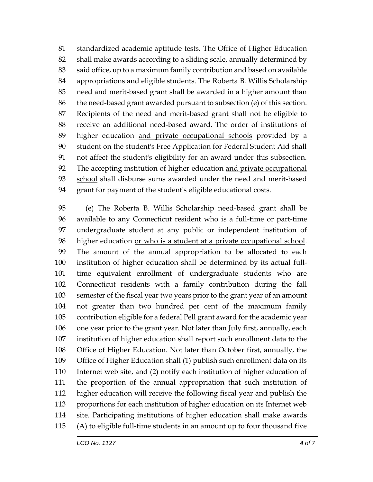standardized academic aptitude tests. The Office of Higher Education shall make awards according to a sliding scale, annually determined by said office, up to a maximum family contribution and based on available appropriations and eligible students. The Roberta B. Willis Scholarship need and merit-based grant shall be awarded in a higher amount than the need-based grant awarded pursuant to subsection (e) of this section. Recipients of the need and merit-based grant shall not be eligible to receive an additional need-based award. The order of institutions of higher education and private occupational schools provided by a student on the student's Free Application for Federal Student Aid shall not affect the student's eligibility for an award under this subsection. The accepting institution of higher education and private occupational 93 school shall disburse sums awarded under the need and merit-based grant for payment of the student's eligible educational costs.

 (e) The Roberta B. Willis Scholarship need-based grant shall be available to any Connecticut resident who is a full-time or part-time undergraduate student at any public or independent institution of higher education or who is a student at a private occupational school. The amount of the annual appropriation to be allocated to each institution of higher education shall be determined by its actual full- time equivalent enrollment of undergraduate students who are Connecticut residents with a family contribution during the fall semester of the fiscal year two years prior to the grant year of an amount not greater than two hundred per cent of the maximum family contribution eligible for a federal Pell grant award for the academic year one year prior to the grant year. Not later than July first, annually, each institution of higher education shall report such enrollment data to the Office of Higher Education. Not later than October first, annually, the Office of Higher Education shall (1) publish such enrollment data on its Internet web site, and (2) notify each institution of higher education of the proportion of the annual appropriation that such institution of higher education will receive the following fiscal year and publish the proportions for each institution of higher education on its Internet web site. Participating institutions of higher education shall make awards (A) to eligible full-time students in an amount up to four thousand five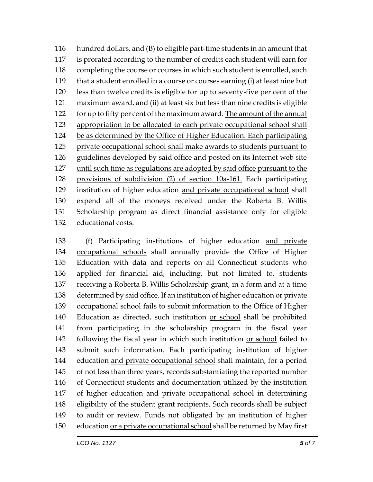hundred dollars, and (B) to eligible part-time students in an amount that is prorated according to the number of credits each student will earn for completing the course or courses in which such student is enrolled, such that a student enrolled in a course or courses earning (i) at least nine but less than twelve credits is eligible for up to seventy-five per cent of the maximum award, and (ii) at least six but less than nine credits is eligible 122 for up to fifty per cent of the maximum award. The amount of the annual appropriation to be allocated to each private occupational school shall be as determined by the Office of Higher Education. Each participating 125 private occupational school shall make awards to students pursuant to guidelines developed by said office and posted on its Internet web site until such time as regulations are adopted by said office pursuant to the provisions of subdivision (2) of section 10a-161. Each participating institution of higher education and private occupational school shall expend all of the moneys received under the Roberta B. Willis Scholarship program as direct financial assistance only for eligible educational costs.

 (f) Participating institutions of higher education and private occupational schools shall annually provide the Office of Higher Education with data and reports on all Connecticut students who applied for financial aid, including, but not limited to, students receiving a Roberta B. Willis Scholarship grant, in a form and at a time determined by said office. If an institution of higher education or private occupational school fails to submit information to the Office of Higher 140 Education as directed, such institution or school shall be prohibited from participating in the scholarship program in the fiscal year following the fiscal year in which such institution or school failed to submit such information. Each participating institution of higher 144 education and private occupational school shall maintain, for a period of not less than three years, records substantiating the reported number of Connecticut students and documentation utilized by the institution of higher education and private occupational school in determining eligibility of the student grant recipients. Such records shall be subject to audit or review. Funds not obligated by an institution of higher 150 education <u>or a private occupational school</u> shall be returned by May first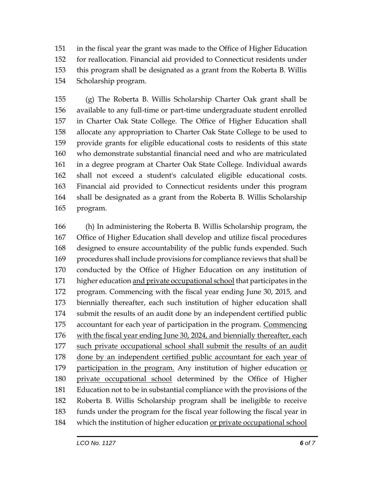in the fiscal year the grant was made to the Office of Higher Education for reallocation. Financial aid provided to Connecticut residents under this program shall be designated as a grant from the Roberta B. Willis Scholarship program.

 (g) The Roberta B. Willis Scholarship Charter Oak grant shall be available to any full-time or part-time undergraduate student enrolled in Charter Oak State College. The Office of Higher Education shall allocate any appropriation to Charter Oak State College to be used to provide grants for eligible educational costs to residents of this state who demonstrate substantial financial need and who are matriculated in a degree program at Charter Oak State College. Individual awards shall not exceed a student's calculated eligible educational costs. Financial aid provided to Connecticut residents under this program shall be designated as a grant from the Roberta B. Willis Scholarship program.

 (h) In administering the Roberta B. Willis Scholarship program, the Office of Higher Education shall develop and utilize fiscal procedures designed to ensure accountability of the public funds expended. Such procedures shall include provisions for compliance reviews that shall be conducted by the Office of Higher Education on any institution of 171 higher education and private occupational school that participates in the program. Commencing with the fiscal year ending June 30, 2015, and biennially thereafter, each such institution of higher education shall submit the results of an audit done by an independent certified public accountant for each year of participation in the program. Commencing with the fiscal year ending June 30, 2024, and biennially thereafter, each such private occupational school shall submit the results of an audit 178 done by an independent certified public accountant for each year of 179 participation in the program. Any institution of higher education or private occupational school determined by the Office of Higher Education not to be in substantial compliance with the provisions of the Roberta B. Willis Scholarship program shall be ineligible to receive funds under the program for the fiscal year following the fiscal year in which the institution of higher education or private occupational school